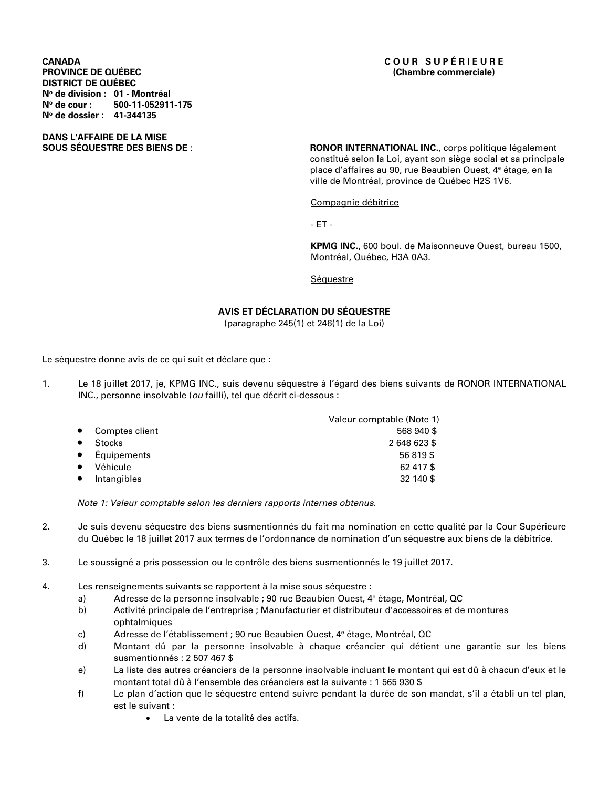**CANADA C O U R S U P É R I E U R E DISTRICT DE QUÉBEC No de division : 01 - Montréal No de cour : 500-11-052911-175 No de dossier : 41-344135** 

# **DANS L'AFFAIRE DE LA MISE**

RONOR INTERNATIONAL INC., corps politique légalement constitué selon la Loi, ayant son siège social et sa principale place d'affaires au 90, rue Beaubien Ouest, 4e étage, en la ville de Montréal, province de Québec H2S 1V6.

Compagnie débitrice

- ET -

**KPMG INC.**, 600 boul. de Maisonneuve Ouest, bureau 1500, Montréal, Québec, H3A 0A3.

**Séquestre** 

## **AVIS ET DÉCLARATION DU SÉQUESTRE**

(paragraphe 245(1) et 246(1) de la Loi)

Le séquestre donne avis de ce qui suit et déclare que :

1. Le 18 juillet 2017, je, KPMG INC., suis devenu séquestre à l'égard des biens suivants de RONOR INTERNATIONAL INC., personne insolvable (*ou* failli), tel que décrit ci-dessous :

|           |                | Valeur comptable (Note 1) |
|-----------|----------------|---------------------------|
| $\bullet$ | Comptes client | 568 940 \$                |
|           | <b>Stocks</b>  | 2648623\$                 |
| $\bullet$ | Équipements    | 56819\$                   |
| $\bullet$ | Véhicule       | 62 417 \$                 |
|           | Intangibles    | 32 140 \$                 |

*Note 1: Valeur comptable selon les derniers rapports internes obtenus.* 

- 2. Je suis devenu séquestre des biens susmentionnés du fait ma nomination en cette qualité par la Cour Supérieure du Québec le 18 juillet 2017 aux termes de l'ordonnance de nomination d'un séquestre aux biens de la débitrice.
- 3. Le soussigné a pris possession ou le contrôle des biens susmentionnés le 19 juillet 2017.
- 4. Les renseignements suivants se rapportent à la mise sous séquestre :
	- a) Adresse de la personne insolvable ; 90 rue Beaubien Ouest, 4e étage, Montréal, QC
	- b) Activité principale de l'entreprise ; Manufacturier et distributeur d'accessoires et de montures ophtalmiques
	- c) Adresse de l'établissement ; 90 rue Beaubien Ouest, 4e étage, Montréal, QC
	- d) Montant dû par la personne insolvable à chaque créancier qui détient une garantie sur les biens susmentionnés : 2 507 467 \$
	- e) La liste des autres créanciers de la personne insolvable incluant le montant qui est dû à chacun d'eux et le montant total dû à l'ensemble des créanciers est la suivante : 1 565 930 \$
	- f) Le plan d'action que le séquestre entend suivre pendant la durée de son mandat, s'il a établi un tel plan, est le suivant :
		- La vente de la totalité des actifs.

# **(Chambre commerciale)**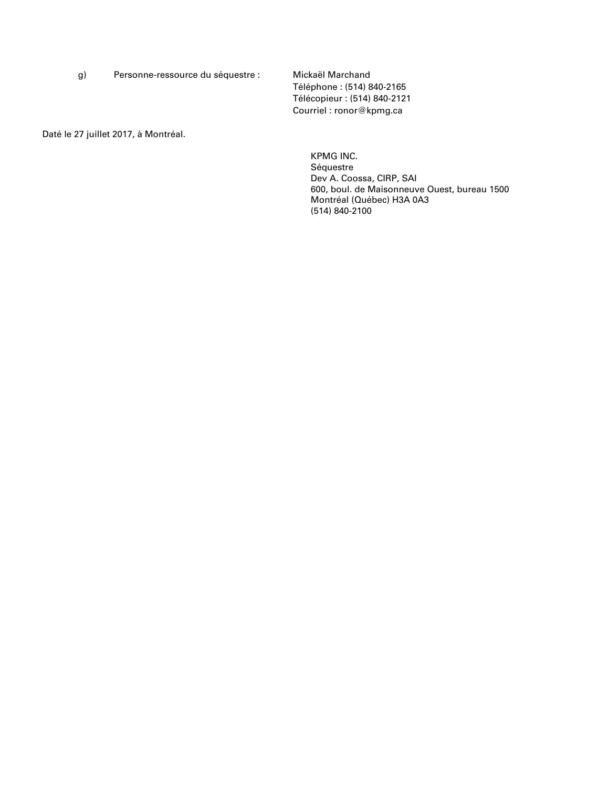g) Personne-ressource du séquestre : Mickaël Marchand

 Téléphone : (514) 840-2165 Télécopieur : (514) 840-2121 Courriel : ronor@kpmg.ca

Daté le 27 juillet 2017, à Montréal.

KPMG INC. Séquestre Dev A. Coossa, CIRP, SAI 600, boul. de Maisonneuve Ouest, bureau 1500 Montréal (Québec) H3A 0A3 (514) 840-2100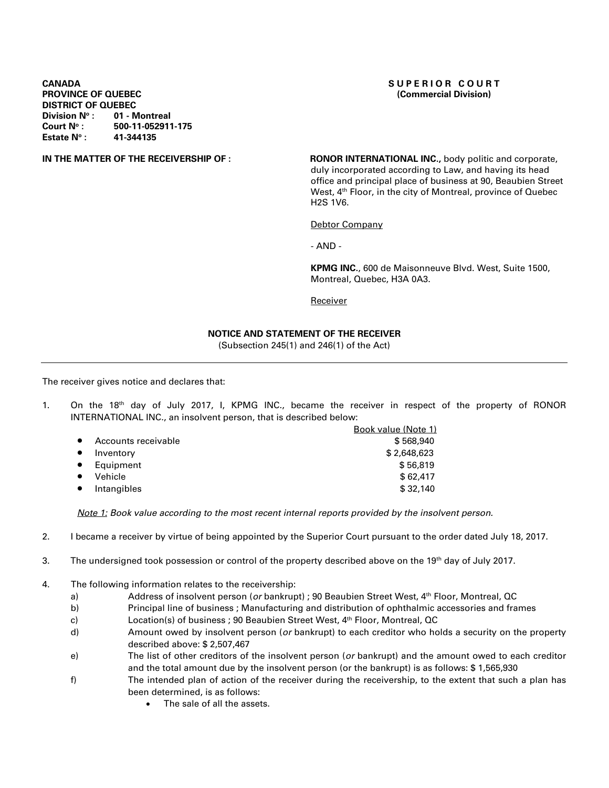### **CANADA** SUPERIOR COURT **PROVINCE OF QUEBEC (Commercial Division) DISTRICT OF QUEBEC<br>Division N°: 01 - M Division No : 01 - Montreal**  Court N° : 500-11-052911-175<br>Estate N° : 41-344135 **Estate N°:**

**IN THE MATTER OF THE RECEIVERSHIP OF : <b>RONOR INTERNATIONAL INC.**, body politic and corporate, duly incorporated according to Law, and having its head office and principal place of business at 90, Beaubien Street West, 4<sup>th</sup> Floor, in the city of Montreal, province of Quebec H2S 1V6.

Debtor Company

- AND -

**KPMG INC.**, 600 de Maisonneuve Blvd. West, Suite 1500, Montreal, Quebec, H3A 0A3.

**Receiver** 

## **NOTICE AND STATEMENT OF THE RECEIVER**

(Subsection 245(1) and 246(1) of the Act)

The receiver gives notice and declares that:

1. On the 18<sup>th</sup> day of July 2017, I, KPMG INC., became the receiver in respect of the property of RONOR INTERNATIONAL INC., an insolvent person, that is described below:

|                     | <b>Book value (Note 1)</b> |
|---------------------|----------------------------|
| Accounts receivable | \$568,940                  |
| Inventory           | \$2,648,623                |
| Equipment           | \$56,819                   |
| Vehicle             | \$62.417                   |
| Intangibles         | \$32,140                   |
|                     |                            |

*Note 1: Book value according to the most recent internal reports provided by the insolvent person.* 

- 2. I became a receiver by virtue of being appointed by the Superior Court pursuant to the order dated July 18, 2017.
- 3. The undersigned took possession or control of the property described above on the 19<sup>th</sup> day of July 2017.
- 4. The following information relates to the receivership:
	- a) Address of insolvent person (*or* bankrupt) ; 90 Beaubien Street West, 4th Floor, Montreal, QC
	- b) Principal line of business ; Manufacturing and distribution of ophthalmic accessories and frames
	- c) Location(s) of business ; 90 Beaubien Street West, 4th Floor, Montreal, QC
	- d) Amount owed by insolvent person (*or* bankrupt) to each creditor who holds a security on the property described above: \$ 2,507,467
	- e) The list of other creditors of the insolvent person (*or* bankrupt) and the amount owed to each creditor and the total amount due by the insolvent person (or the bankrupt) is as follows: \$ 1,565,930
	- f) The intended plan of action of the receiver during the receivership, to the extent that such a plan has been determined, is as follows:
		- The sale of all the assets.